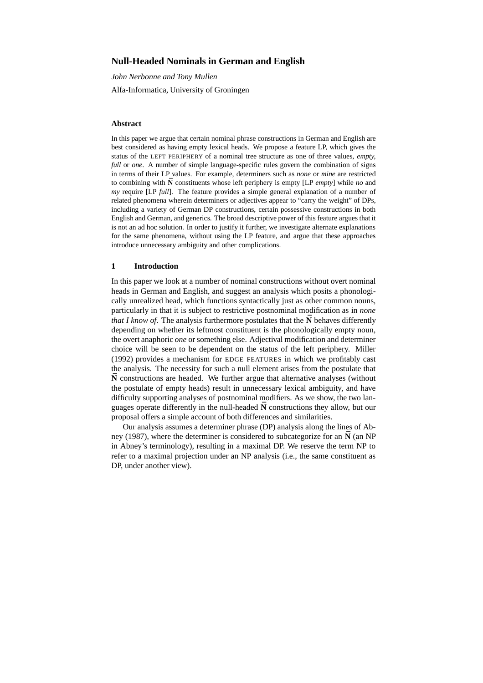# **Null-Headed Nominals in German and English**

*John Nerbonne and Tony Mullen* Alfa-Informatica, University of Groningen

### **Abstract**

In this paper we argue that certain nominal phrase constructions in German and English are best considered as having empty lexical heads. We propose a feature LP, which gives the status of the LEFT PERIPHERY of a nominal tree structure as one of three values, *empty, full* or *one*. A number of simple language-specific rules govern the combination of signs in terms of their LP values. For example, determiners such as *none* or *mine* are restricted to combining with  $\tilde{N}$  constituents whose left periphery is empty [LP *empty*] while *no* and *my* require [LP *full*]. The feature provides a simple general explanation of a number of related phenomena wherein determiners or adjectives appear to "carry the weight" of DPs, including a variety of German DP constructions, certain possessive constructions in both English and German, and generics. The broad descriptive power of this feature argues that it is not an ad hoc solution. In order to justify it further, we investigate alternate explanations for the same phenomena, without using the LP feature, and argue that these approaches introduce unnecessary ambiguity and other complications.

### **1 Introduction**

In this paper we look at a number of nominal constructions without overt nominal heads in German and English, and suggest an analysis which posits a phonologically unrealized head, which functions syntactically just as other common nouns, particularly in that it is subject to restrictive postnominal modification as in *none that I* know of. The analysis furthermore postulates that the  $\overline{N}$  behaves differently depending on whether its leftmost constituent is the phonologically empty noun, the overt anaphoric *one* or something else. Adjectival modification and determiner choice will be seen to be dependent on the status of the left periphery. Miller (1992) provides a mechanism for EDGE FEATURES in which we profitably cast the analysis. The necessity for such a null element arises from the postulate that  $\bar{N}$  constructions are headed. We further argue that alternative analyses (without the postulate of empty heads) result in unnecessary lexical ambiguity, and have difficulty supporting analyses of postnominal modifiers. As we show, the two languages operate differently in the null-headed  $\bar{N}$  constructions they allow, but our proposal offers a simple account of both differences and similarities.

Our analysis assumes a determiner phrase (DP) analysis along the lines of Abney (1987), where the determiner is considered to subcategorize for an  $\bar{N}$  (an NP in Abney's terminology), resulting in a maximal DP. We reserve the term NP to refer to a maximal projection under an NP analysis (i.e., the same constituent as DP, under another view).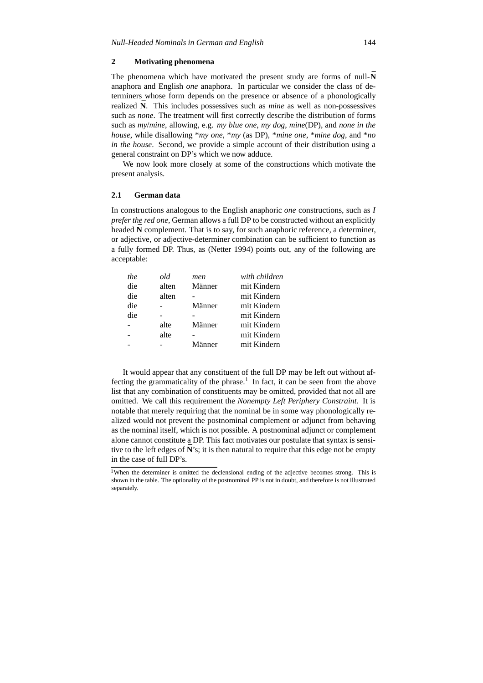### **2 Motivating phenomena**

The phenomena which have motivated the present study are forms of null- $\bar{N}$ anaphora and English *one* anaphora. In particular we consider the class of determiners whose form depends on the presence or absence of a phonologically realized  $\bar{N}$ . This includes possessives such as *mine* as well as non-possessives such as *none*. The treatment will first correctly describe the distribution of forms such as *my*/*mine*, allowing, e.g. *my blue one*, *my dog*, *mine*(DP), and *none in the house*, while disallowing \**my one*, \**my* (as DP), \**mine one*, \**mine dog*, and \**no in the house*. Second, we provide a simple account of their distribution using a general constraint on DP's which we now adduce.

We now look more closely at some of the constructions which motivate the present analysis.

### **2.1 German data**

In constructions analogous to the English anaphoric *one* constructions, such as *I prefer the red one,* German allows a full DP to be constructed without an explicitly headed  $\overline{N}$  complement. That is to say, for such anaphoric reference, a determiner, or adjective, or adjective-determiner combination can be sufficient to function as a fully formed DP. Thus, as (Netter 1994) points out, any of the following are acceptable:

| the | old   | men    | with children |
|-----|-------|--------|---------------|
| die | alten | Männer | mit Kindern   |
| die | alten |        | mit Kindern   |
| die |       | Männer | mit Kindern   |
| die |       |        | mit Kindern   |
|     | alte  | Männer | mit Kindern   |
|     | alte  |        | mit Kindern   |
|     |       | Männer | mit Kindern   |
|     |       |        |               |

It would appear that any constituent of the full DP may be left out without affecting the grammaticality of the phrase.<sup>1</sup> In fact, it can be seen from the above list that any combination of constituents may be omitted, provided that not all are omitted. We call this requirement the *Nonempty Left Periphery Constraint*. It is notable that merely requiring that the nominal be in some way phonologically realized would not prevent the postnominal complement or adjunct from behaving as the nominal itself, which is not possible. A postnominal adjunct or complement alone cannot constitute a DP. This fact motivates our postulate that syntax is sensitive to the left edges of  $\vec{N}$ 's; it is then natural to require that this edge not be empty in the case of full DP's.

<sup>&</sup>lt;sup>1</sup>When the determiner is omitted the declensional ending of the adjective becomes strong. This is shown in the table. The optionality of the postnominal PP is not in doubt, and therefore is not illustrated separately.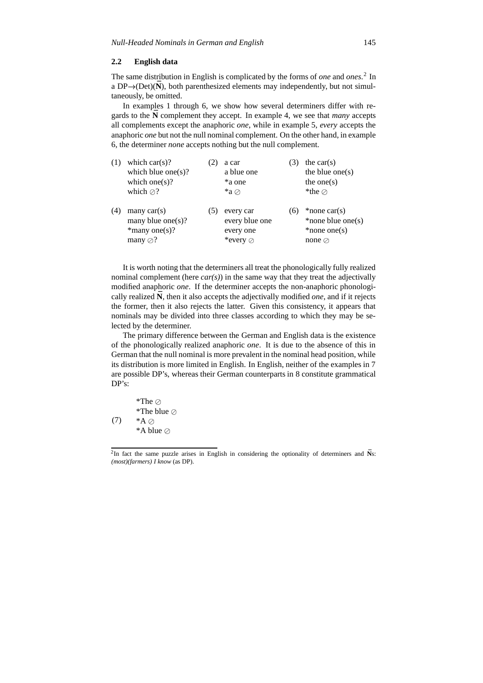### **2.2 English data**

The same distribution in English is complicated by the forms of *one* and *ones*. 2 In a  $DP \rightarrow (Det)(\bar{N})$ , both parenthesized elements may independently, but not simultaneously, be omitted.

In examples 1 through 6, we show how several determiners differ with regards to the  $\bar{N}$  complement they accept. In example 4, we see that *many* accepts all complements except the anaphoric *one*, while in example 5, *every* accepts the anaphoric *one* but not the null nominal complement. On the other hand, in example 6, the determiner *none* accepts nothing but the null complement.

| (1) | which $car(s)$ ?<br>which blue one $(s)$ ?<br>which one(s)?<br>which $\oslash$ ? |    | a car<br>a blue one<br>*a one<br>$*a$ $\oslash$      |          | the $car(s)$<br>the blue one $(s)$<br>the one $(s)$<br>*the $\oslash$    |
|-----|----------------------------------------------------------------------------------|----|------------------------------------------------------|----------|--------------------------------------------------------------------------|
| (4) | many $car(s)$<br>many blue one(s)?<br>$*$ many one(s)?<br>many $\oslash$ ?       | C. | every car<br>every blue one<br>every one<br>*every ⊘ | $\sigma$ | *none $car(s)$<br>*none blue one(s)<br>$*$ none one(s)<br>none $\oslash$ |

It is worth noting that the determiners all treat the phonologically fully realized nominal complement (here  $car(s)$ ) in the same way that they treat the adjectivally modified anaphoric *one*. If the determiner accepts the non-anaphoric phonologically realized  $\bar{N}$ , then it also accepts the adjectivally modified *one*, and if it rejects the former, then it also rejects the latter. Given this consistency, it appears that nominals may be divided into three classes according to which they may be selected by the determiner.

The primary difference between the German and English data is the existence of the phonologically realized anaphoric *one*. It is due to the absence of this in German that the null nominal is more prevalent in the nominal head position, while its distribution is more limited in English. In English, neither of the examples in 7 are possible DP's, whereas their German counterparts in 8 constitute grammatical DP's:

$$
* The ⊘
$$
  
\n
$$
* The blue ⊙
$$
  
\n(7) 
$$
*A ⊙
$$
  
\n
$$
*A blue ⊙
$$

<sup>&</sup>lt;sup>2</sup>In fact the same puzzle arises in English in considering the optionality of determiners and  $\bar{N}$ s: *(most)(farmers) I know* (as DP).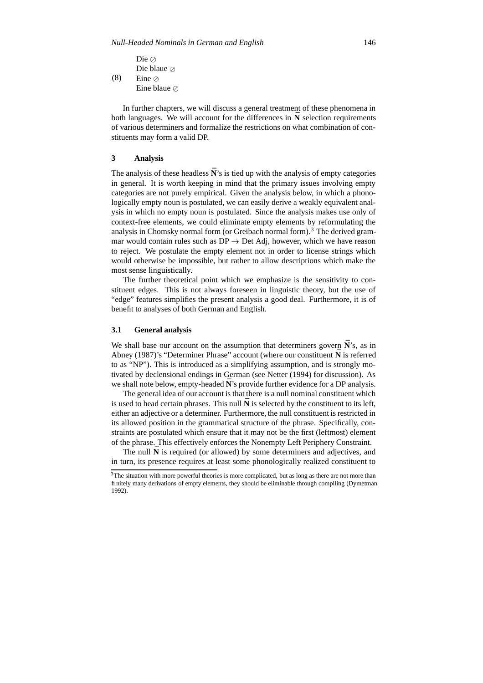(8) Die  $\oslash$ Die blaue Eine  $\oslash$ Eine blaue

In further chapters, we will discuss a general treatment of these phenomena in both languages. We will account for the differences in  $\tilde{N}$  selection requirements of various determiners and formalize the restrictions on what combination of constituents may form a valid DP.

# **3 Analysis**

The analysis of these headless  $\bar{N}$ 's is tied up with the analysis of empty categories in general. It is worth keeping in mind that the primary issues involving empty categories are not purely empirical. Given the analysis below, in which a phonologically empty noun is postulated, we can easily derive a weakly equivalent analysis in which no empty noun is postulated. Since the analysis makes use only of context-free elements, we could eliminate empty elements by reformulating the analysis in Chomsky normal form (or Greibach normal form).<sup>3</sup> The derived grammar would contain rules such as  $DP \rightarrow Det Adj$ , however, which we have reason to reject. We postulate the empty element not in order to license strings which would otherwise be impossible, but rather to allow descriptions which make the most sense linguistically.

The further theoretical point which we emphasize is the sensitivity to constituent edges. This is not always foreseen in linguistic theory, but the use of "edge" features simplifies the present analysis a good deal. Furthermore, it is of benefit to analyses of both German and English.

#### **3.1 General analysis**

We shall base our account on the assumption that determiners govern  $\bar{N}$ 's, as in Abney (1987)'s "Determiner Phrase" account (where our constituent  $\bar{N}$  is referred to as "NP"). This is introduced as a simplifying assumption, and is strongly motivated by declensional endings in German (see Netter (1994) for discussion). As we shall note below, empty-headed **N**'s provide further evidence for a DP analysis.

The general idea of our account is that there is a null nominal constituent which is used to head certain phrases. This null  $\bar{N}$  is selected by the constituent to its left, either an adjective or a determiner. Furthermore, the null constituent is restricted in its allowed position in the grammatical structure of the phrase. Specifically, constraints are postulated which ensure that it may not be the first (leftmost) element of the phrase. This effectively enforces the Nonempty Left Periphery Constraint.

The null **N** is required (or allowed) by some determiners and adjectives, and in turn, its presence requires at least some phonologically realized constituent to

<sup>&</sup>lt;sup>3</sup>The situation with more powerful theories is more complicated, but as long as there are not more than finitely many derivations of empty elements, they should be eliminable through compiling (Dymetman 1992).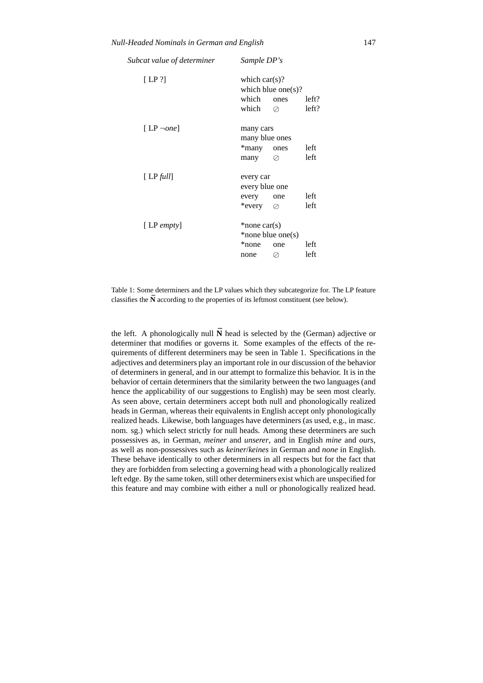| Subcat value of determiner | Sample DP's                                    |                                 |                |  |  |
|----------------------------|------------------------------------------------|---------------------------------|----------------|--|--|
| [LP ?]                     | which $car(s)$ ?<br>which<br>which             | which blue one(s)?<br>ones<br>⊘ | left?<br>left? |  |  |
| [LP $\neg$ one]            | many cars<br>many blue ones<br>*many<br>many   | ones<br>Ø                       | left<br>left   |  |  |
| [LP full]                  | every car<br>every blue one<br>every<br>*every | one<br>Ø                        | left<br>left   |  |  |
| $[LP \text{ empty}]$       | $*$ none car $(s)$<br>*none<br>none            | *none blue one(s)<br>one<br>Ø   | left<br>left   |  |  |

Table 1: Some determiners and the LP values which they subcategorize for. The LP feature classifies the  $\bar{N}$  according to the properties of its leftmost constituent (see below).

the left. A phonologically null  $\bar{N}$  head is selected by the (German) adjective or determiner that modifies or governs it. Some examples of the effects of the requirements of different determiners may be seen in Table 1. Specifications in the adjectives and determiners play an important role in our discussion of the behavior of determiners in general, and in our attempt to formalize this behavior. It is in the behavior of certain determiners that the similarity between the two languages (and hence the applicability of our suggestions to English) may be seen most clearly. As seen above, certain determiners accept both null and phonologically realized heads in German, whereas their equivalents in English accept only phonologically realized heads. Likewise, both languages have determiners (as used, e.g., in masc. nom. sg.) which select strictly for null heads. Among these determiners are such possessives as, in German, *meiner* and *unserer*, and in English *mine* and *ours*, as well as non-possessives such as *keiner*/*keines* in German and *none* in English. These behave identically to other determiners in all respects but for the fact that they are forbidden from selecting a governing head with a phonologically realized left edge. By the same token, still other determiners exist which are unspecified for this feature and may combine with either a null or phonologically realized head.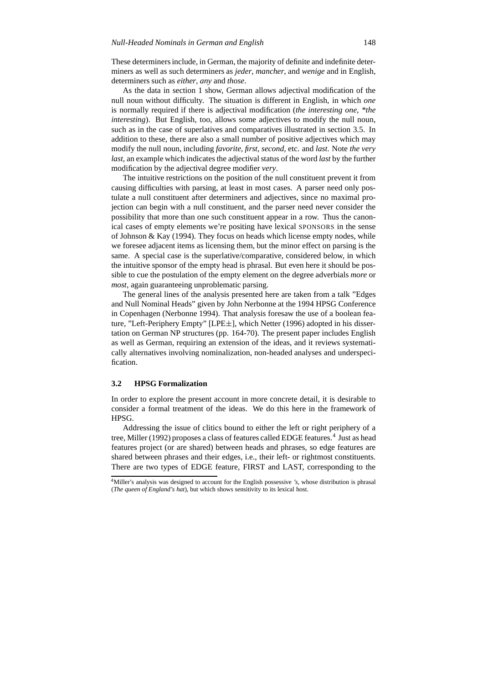These determinersinclude, in German, the majority of definite and indefinite determiners as well as such determiners as *jeder*, *mancher*, and *wenige* and in English, determiners such as *either*, *any* and *those*.

As the data in section 1 show, German allows adjectival modification of the null noun without difficulty. The situation is different in English, in which *one* is normally required if there is adjectival modification (*the interesting one, \*the interesting*). But English, too, allows some adjectives to modify the null noun, such as in the case of superlatives and comparatives illustrated in section 3.5. In addition to these, there are also a small number of positive adjectives which may modify the null noun, including *favorite, first, second,* etc. and *last*. Note *the very last,* an example which indicates the adjectival status of the word *last* by the further modification by the adjectival degree modifier *very*.

The intuitive restrictions on the position of the null constituent prevent it from causing difficulties with parsing, at least in most cases. A parser need only postulate a null constituent after determiners and adjectives, since no maximal projection can begin with a null constituent, and the parser need never consider the possibility that more than one such constituent appear in a row. Thus the canonical cases of empty elements we're positing have lexical SPONSORS in the sense of Johnson & Kay (1994). They focus on heads which license empty nodes, while we foresee adjacent items as licensing them, but the minor effect on parsing is the same. A special case is the superlative/comparative, considered below, in which the intuitive sponsor of the empty head is phrasal. But even here it should be possible to cue the postulation of the empty element on the degree adverbials *more* or *most*, again guaranteeing unproblematic parsing.

The general lines of the analysis presented here are taken from a talk "Edges and Null Nominal Heads" given by John Nerbonne at the 1994 HPSG Conference in Copenhagen (Nerbonne 1994). That analysis foresaw the use of a boolean feature, "Left-Periphery Empty" [LPE ], which Netter (1996) adopted in his dissertation on German NP structures (pp. 164-70). The present paper includes English as well as German, requiring an extension of the ideas, and it reviews systematically alternatives involving nominalization, non-headed analyses and underspecification.

### **3.2 HPSG Formalization**

In order to explore the present account in more concrete detail, it is desirable to consider a formal treatment of the ideas. We do this here in the framework of HPSG.

Addressing the issue of clitics bound to either the left or right periphery of a tree, Miller (1992) proposes a class of features called EDGE features.<sup>4</sup> Just as head features project (or are shared) between heads and phrases, so edge features are shared between phrases and their edges, i.e., their left- or rightmost constituents. There are two types of EDGE feature, FIRST and LAST, corresponding to the

<sup>4</sup>Miller's analysis was designed to account for the English possessive *'s*, whose distribution is phrasal (*The queen of England's hat*), but which shows sensitivity to its lexical host.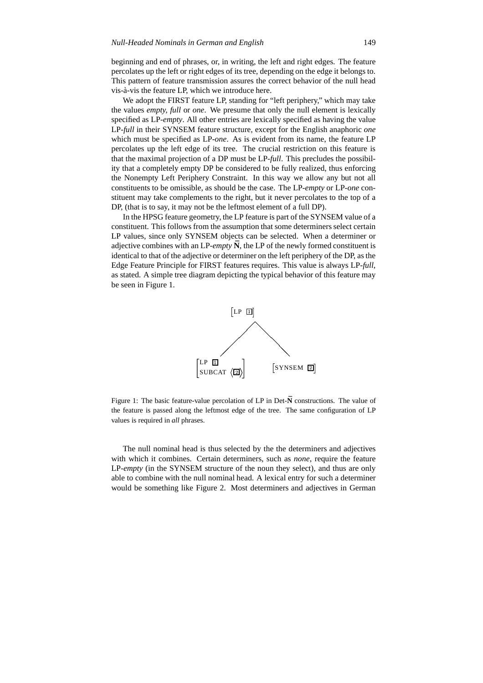beginning and end of phrases, or, in writing, the left and right edges. The feature percolates up the left or right edges of its tree, depending on the edge it belongs to. This pattern of feature transmission assures the correct behavior of the null head vis-à-vis the feature LP, which we introduce here.

We adopt the FIRST feature LP, standing for "left periphery," which may take the values *empty, full* or *one*. We presume that only the null element is lexically specified as LP-*empty*. All other entries are lexically specified as having the value LP-*full* in their SYNSEM feature structure, except for the English anaphoric *one* which must be specified as LP-*one*. As is evident from its name, the feature LP percolates up the left edge of its tree. The crucial restriction on this feature is that the maximal projection of a DP must be LP-*full*. This precludes the possibility that a completely empty DP be considered to be fully realized, thus enforcing the Nonempty Left Periphery Constraint. In this way we allow any but not all constituents to be omissible, as should be the case. The LP-*empty* or LP-*one* constituent may take complements to the right, but it never percolates to the top of a DP, (that is to say, it may not be the leftmost element of a full DP).

In the HPSG feature geometry, the LP feature is part of the SYNSEM value of a constituent. This follows from the assumption that some determiners select certain LP values, since only SYNSEM objects can be selected. When a determiner or adjective combines with an LP-*empty*  $\tilde{N}$ , the LP of the newly formed constituent is identical to that of the adjective or determiner on the left periphery of the DP, as the Edge Feature Principle for FIRST features requires. This value is always LP-*full*, as stated. A simple tree diagram depicting the typical behavior of this feature may be seen in Figure 1.



Figure 1: The basic feature-value percolation of LP in Det- $\bar{N}$  constructions. The value of the feature is passed along the leftmost edge of the tree. The same configuration of LP values is required in *all* phrases.

The null nominal head is thus selected by the the determiners and adjectives with which it combines. Certain determiners, such as *none*, require the feature LP-*empty* (in the SYNSEM structure of the noun they select), and thus are only able to combine with the null nominal head. A lexical entry for such a determiner would be something like Figure 2. Most determiners and adjectives in German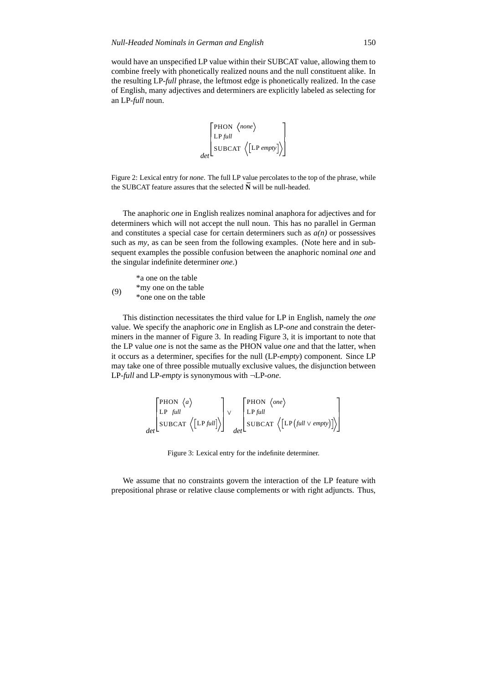would have an unspecified LP value within their SUBCAT value, allowing them to combine freely with phonetically realized nouns and the null constituent alike. In the resulting LP-*full* phrase, the leftmost edge is phonetically realized. In the case of English, many adjectives and determiners are explicitly labeled as selecting for an LP-*full* noun.

$$
\begin{bmatrix} \text{PHON} & \langle \text{none} \rangle \\ \text{LP full} \\ \text{SUBCAT} & \langle \text{[LP empty]} \rangle \end{bmatrix}
$$

Figure 2: Lexical entry for *none*. The full LP value percolates to the top of the phrase, while the SUBCAT feature assures that the selected  $\bar{N}$  will be null-headed.

The anaphoric *one* in English realizes nominal anaphora for adjectives and for determiners which will not accept the null noun. This has no parallel in German and constitutes a special case for certain determiners such as  $a(n)$  or possessives such as *my*, as can be seen from the following examples. (Note here and in subsequent examples the possible confusion between the anaphoric nominal *one* and the singular indefinite determiner *one*.)

|     | *a one on the table   |
|-----|-----------------------|
| (9) | *my one on the table  |
|     | *one one on the table |

This distinction necessitates the third value for LP in English, namely the *one* value. We specify the anaphoric *one* in English as LP-*one* and constrain the determiners in the manner of Figure 3. In reading Figure 3, it is important to note that the LP value *one* is not the same as the PHON value *one* and that the latter, when it occurs as a determiner, specifies for the null (LP-*empty*) component. Since LP may take one of three possible mutually exclusive values, the disjunction between LP-*full* and LP-*empty* is synonymous with ¬LP-*one*.

$$
\begin{bmatrix} \text{PHON} & \langle a \rangle \\ \text{LP} & \text{full} \\ \text{SUBCAT} & \langle \text{[LPfull]} \rangle \end{bmatrix} \vee \begin{bmatrix} \text{PHON} & \langle \text{one} \rangle \\ \text{LP full} \\ \text{SUBCAT} & \langle \text{[LP(full \vee empty)]} \rangle \end{bmatrix}
$$

Figure 3: Lexical entry for the indefinite determiner.

We assume that no constraints govern the interaction of the LP feature with prepositional phrase or relative clause complements or with right adjuncts. Thus,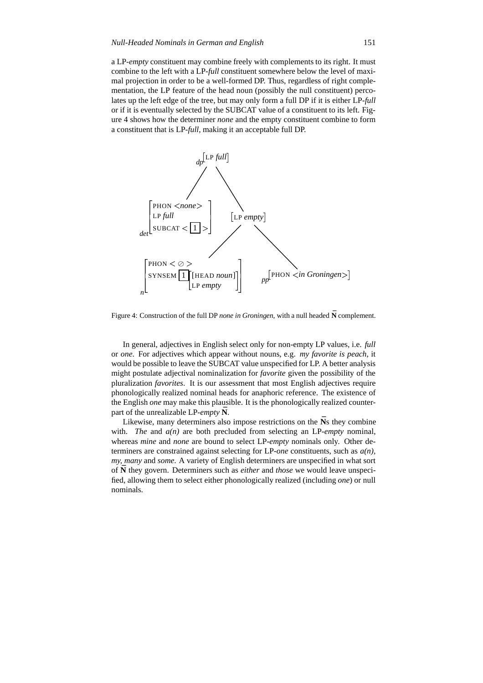a LP-*empty* constituent may combine freely with complements to its right. It must combine to the left with a LP-*full* constituent somewhere below the level of maximal projection in order to be a well-formed DP. Thus, regardless of right complementation, the LP feature of the head noun (possibly the null constituent) percolates up the left edge of the tree, but may only form a full DP if it is either LP-*full* or if it is eventually selected by the SUBCAT value of a constituent to its left. Figure 4 shows how the determiner *none* and the empty constituent combine to form a constituent that is LP-*full*, making it an acceptable full DP.



Figure 4: Construction of the full DP none in Groningen, with a null headed  $\bar{N}$  complement.

In general, adjectives in English select only for non-empty LP values, i.e. *full* or *one*. For adjectives which appear without nouns, e.g. *my favorite is peach*, it would be possible to leave the SUBCAT value unspecified for LP. A better analysis might postulate adjectival nominalization for *favorite* given the possibility of the pluralization *favorites*. It is our assessment that most English adjectives require phonologically realized nominal heads for anaphoric reference. The existence of the English *one* may make this plausible. It is the phonologically realized counterpart of the unrealizable LP-*empty*  $\bar{N}$ .

Likewise, many determiners also impose restrictions on the  $\bar{N}$ s they combine with. *The* and  $a(n)$  are both precluded from selecting an LP-*empty* nominal, whereas *mine* and *none* are bound to select LP-*empty* nominals only. Other determiners are constrained against selecting for LP-*one* constituents, such as *a(n), my, many* and *some*. A variety of English determiners are unspecified in what sort of N they govern. Determiners such as *either* and *those* we would leave unspecified, allowing them to select either phonologically realized (including *one*) or null nominals.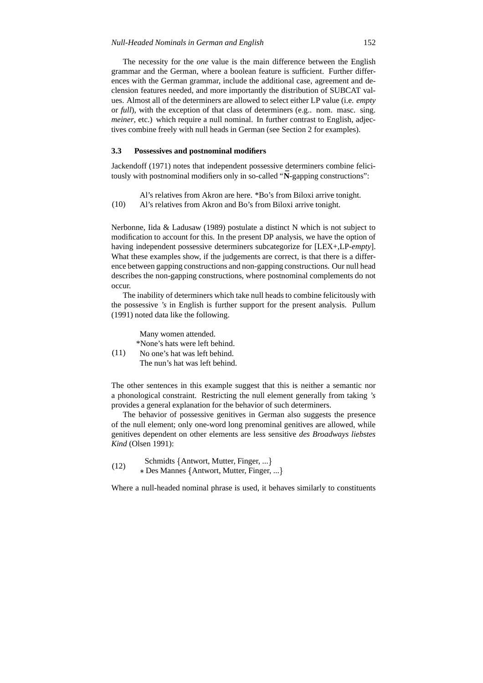The necessity for the *one* value is the main difference between the English grammar and the German, where a boolean feature is sufficient. Further differences with the German grammar, include the additional case, agreement and declension features needed, and more importantly the distribution of SUBCAT values. Almost all of the determiners are allowed to select either LP value (i.e. *empty* or *full*), with the exception of that class of determiners (e.g.. nom. masc. sing. *meiner*, etc.) which require a null nominal. In further contrast to English, adjectives combine freely with null heads in German (see Section 2 for examples).

#### **3.3 Possessives and postnominal modifiers**

Jackendoff (1971) notes that independent possessive determiners combine felicitously with postnominal modifiers only in so-called "N-gapping constructions":

(10) Al's relatives from Akron are here. \*Bo's from Biloxi arrive tonight. Al's relatives from Akron and Bo's from Biloxi arrive tonight.

Nerbonne, Iida & Ladusaw (1989) postulate a distinct N which is not subject to modification to account for this. In the present DP analysis, we have the option of having independent possessive determiners subcategorize for [LEX+,LP-*empty*]. What these examples show, if the judgements are correct, is that there is a difference between gapping constructions and non-gapping constructions. Our null head describes the non-gapping constructions, where postnominal complements do not occur.

The inability of determiners which take null heads to combine felicitously with the possessive *'s* in English is further support for the present analysis. Pullum (1991) noted data like the following.

Many women attended. \*None's hats were left behind.

(11) No one's hat was left behind. The nun's hat was left behind.

The other sentences in this example suggest that this is neither a semantic nor a phonological constraint. Restricting the null element generally from taking *'s* provides a general explanation for the behavior of such determiners.

The behavior of possessive genitives in German also suggests the presence of the null element; only one-word long prenominal genitives are allowed, while genitives dependent on other elements are less sensitive *des Broadways liebstes Kind* (Olsen 1991):

 $(12)$  Schmidts  $\{$  Antwort, Mutter, Finger, ...  $\}$ Des Mannes {Antwort, Mutter, Finger, ...}

Where a null-headed nominal phrase is used, it behaves similarly to constituents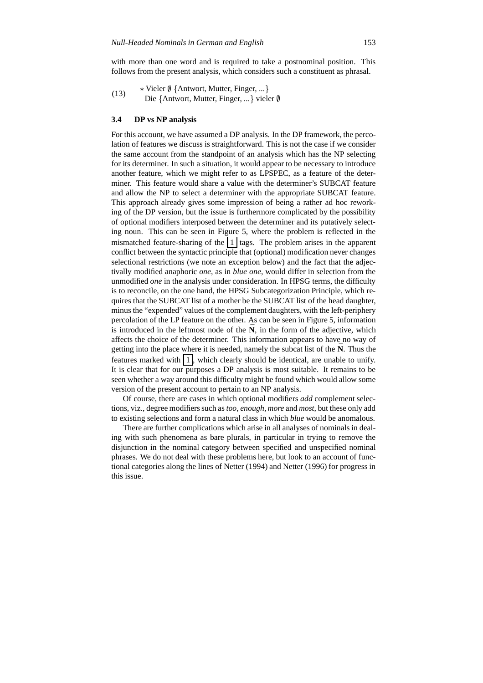with more than one word and is required to take a postnominal position. This follows from the present analysis, which considers such a constituent as phrasal.

 $(13)$ Vieler  $\emptyset$  {Antwort, Mutter, Finger, ...} Die {Antwort, Mutter, Finger, ...} vieler  $\emptyset$ 

### **3.4 DP vs NP analysis**

For this account, we have assumed a DP analysis. In the DP framework, the percolation of features we discuss is straightforward. This is not the case if we consider the same account from the standpoint of an analysis which has the NP selecting for its determiner. In such a situation, it would appear to be necessary to introduce another feature, which we might refer to as LPSPEC, as a feature of the determiner. This feature would share a value with the determiner's SUBCAT feature and allow the NP to select a determiner with the appropriate SUBCAT feature. This approach already gives some impression of being a rather ad hoc reworking of the DP version, but the issue is furthermore complicated by the possibility of optional modifiers interposed between the determiner and its putatively selecting noun. This can be seen in Figure 5, where the problem is reflected in the mismatched feature-sharing of the  $\vert 1 \vert$  tags. The problem arises in the apparent conflict between the syntactic principle that (optional) modification never changes selectional restrictions (we note an exception below) and the fact that the adjectivally modified anaphoric *one*, as in *blue one*, would differ in selection from the unmodified *one* in the analysis under consideration. In HPSG terms, the difficulty is to reconcile, on the one hand, the HPSG Subcategorization Principle, which requires that the SUBCAT list of a mother be the SUBCAT list of the head daughter, minus the "expended" values of the complement daughters, with the left-periphery percolation of the LP feature on the other. As can be seen in Figure 5, information is introduced in the leftmost node of the  $\overline{N}$ , in the form of the adjective, which affects the choice of the determiner. This information appears to have no way of getting into the place where it is needed, namely the subcat list of the N. Thus the features marked with  $\begin{pmatrix} 1 \\ 1 \end{pmatrix}$ , which clearly should be identical, are unable to unify. It is clear that for our purposes a DP analysis is most suitable. It remains to be seen whether a way around this difficulty might be found which would allow some version of the present account to pertain to an NP analysis.

Of course, there are cases in which optional modifiers *add* complement selections, viz., degree modifierssuch as *too*, *enough*, *more* and *most*, but these only add to existing selections and form a natural class in which *blue* would be anomalous.

There are further complications which arise in all analyses of nominals in dealing with such phenomena as bare plurals, in particular in trying to remove the disjunction in the nominal category between specified and unspecified nominal phrases. We do not deal with these problems here, but look to an account of functional categories along the lines of Netter (1994) and Netter (1996) for progress in this issue.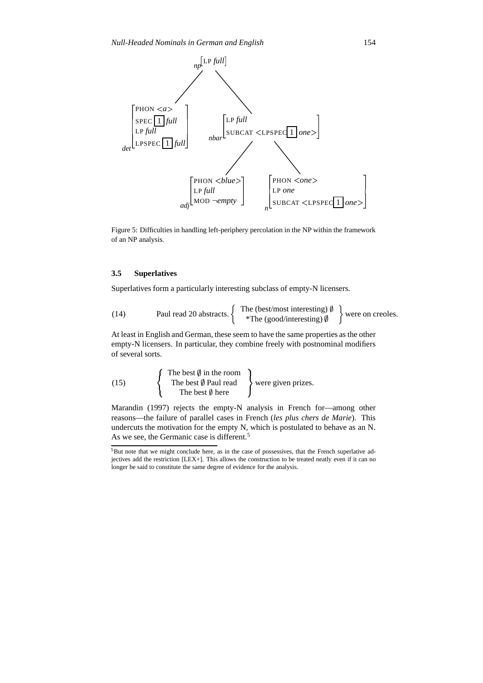

Figure 5: Difficulties in handling left-periphery percolation in the NP within the framework of an NP analysis.

# **3.5 Superlatives**

Superlatives form a particularly interesting subclass of empty-N licensers.

(14) Paul read 20 abstracts.  $\left\{ \begin{array}{c} \text{The (best/most interesting) } \emptyset \\ \text{*The (�ost/mostino) } \emptyset \end{array} \right\}$  were \*The (good/interesting)  $\oint$  were on creoles.

At least in English and German, these seem to have the same properties as the other empty-N licensers. In particular, they combine freely with postnominal modifiers of several sorts.

 $(15)$  The I The best  $\emptyset$  in the room The best  $\emptyset$  Paul read le best  $\emptyset$  Paul read <br>The best  $\emptyset$  here

Marandin (1997) rejects the empty-N analysis in French for—among other reasons—the failure of parallel cases in French (*les plus chers de Marie*). This undercuts the motivation for the empty N, which is postulated to behave as an N. As we see, the Germanic case is different.<sup>5</sup>

<sup>5</sup>But note that we might conclude here, as in the case of possessives, that the French superlative adjectives add the restriction [LEX+]. This allows the construction to be treated neatly even if it can no longer be said to constitute the same degree of evidence for the analysis.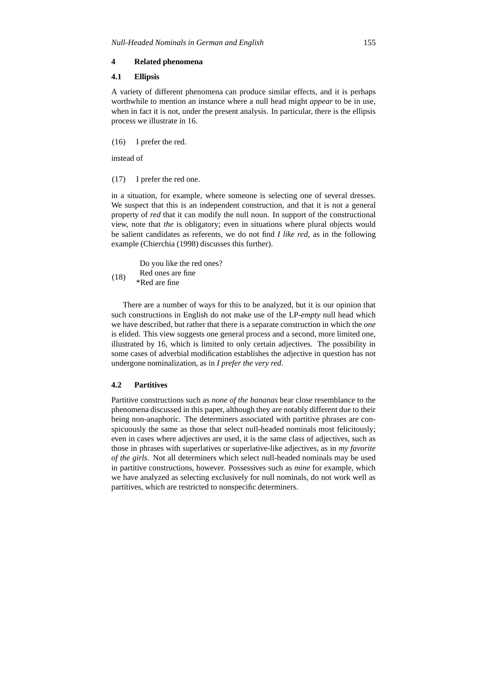# **4 Related phenomena**

# **4.1 Ellipsis**

A variety of different phenomena can produce similar effects, and it is perhaps worthwhile to mention an instance where a null head might *appear* to be in use, when in fact it is not, under the present analysis. In particular, there is the ellipsis process we illustrate in 16.

(16) I prefer the red.

instead of

(17) I prefer the red one.

in a situation, for example, where someone is selecting one of several dresses. We suspect that this is an independent construction, and that it is not a general property of *red* that it can modify the null noun. In support of the constructional view, note that *the* is obligatory; even in situations where plural objects would be salient candidates as referents, we do not find *I like red*, as in the following example (Chierchia (1998) discusses this further).

Do you like the red ones? Red ones are fine

(18) \*Red are fine

There are a number of ways for this to be analyzed, but it is our opinion that such constructions in English do not make use of the LP-*empty* null head which we have described, but rather that there is a separate construction in which the *one* is elided. This view suggests one general process and a second, more limited one, illustrated by 16, which is limited to only certain adjectives. The possibility in some cases of adverbial modification establishes the adjective in question has not undergone nominalization, as in *I prefer the very red*.

### **4.2 Partitives**

Partitive constructions such as *none of the bananas* bear close resemblance to the phenomena discussed in this paper, although they are notably different due to their being non-anaphoric. The determiners associated with partitive phrases are conspicuously the same as those that select null-headed nominals most felicitously; even in cases where adjectives are used, it is the same class of adjectives, such as those in phrases with superlatives or superlative-like adjectives, as in *my favorite of the girls*. Not all determiners which select null-headed nominals may be used in partitive constructions, however. Possessives such as *mine* for example, which we have analyzed as selecting exclusively for null nominals, do not work well as partitives, which are restricted to nonspecific determiners.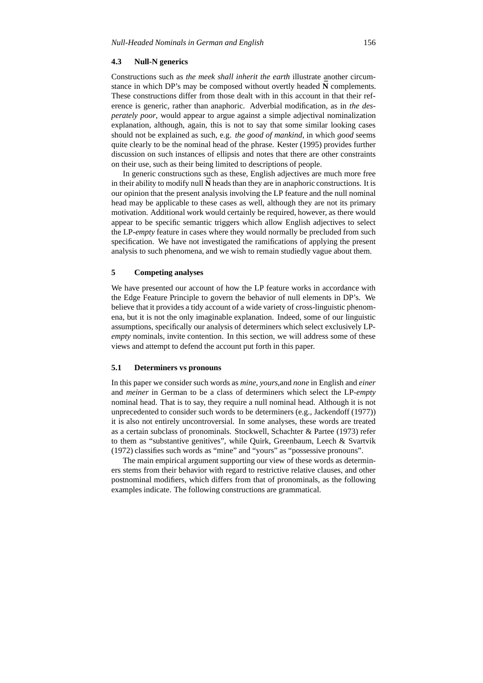### **4.3 Null-N generics**

Constructions such as *the meek shall inherit the earth* illustrate another circumstance in which DP's may be composed without overtly headed **N** complements. These constructions differ from those dealt with in this account in that their reference is generic, rather than anaphoric. Adverbial modification, as in *the desperately poor*, would appear to argue against a simple adjectival nominalization explanation, although, again, this is not to say that some similar looking cases should not be explained as such, e.g. *the good of mankind*, in which *good* seems quite clearly to be the nominal head of the phrase. Kester (1995) provides further discussion on such instances of ellipsis and notes that there are other constraints on their use, such as their being limited to descriptions of people.

In generic constructions such as these, English adjectives are much more free in their ability to modify null  $\bar{N}$  heads than they are in anaphoric constructions. It is our opinion that the present analysis involving the LP feature and the null nominal head may be applicable to these cases as well, although they are not its primary motivation. Additional work would certainly be required, however, as there would appear to be specific semantic triggers which allow English adjectives to select the LP-*empty* feature in cases where they would normally be precluded from such specification. We have not investigated the ramifications of applying the present analysis to such phenomena, and we wish to remain studiedly vague about them.

# **5 Competing analyses**

We have presented our account of how the LP feature works in accordance with the Edge Feature Principle to govern the behavior of null elements in DP's. We believe that it provides a tidy account of a wide variety of cross-linguistic phenomena, but it is not the only imaginable explanation. Indeed, some of our linguistic assumptions, specifically our analysis of determiners which select exclusively LP*empty* nominals, invite contention. In this section, we will address some of these views and attempt to defend the account put forth in this paper.

# **5.1 Determiners vs pronouns**

In this paper we consider such words as *mine*, *yours*,and *none* in English and *einer* and *meiner* in German to be a class of determiners which select the LP-*empty* nominal head. That is to say, they require a null nominal head. Although it is not unprecedented to consider such words to be determiners (e.g., Jackendoff (1977)) it is also not entirely uncontroversial. In some analyses, these words are treated as a certain subclass of pronominals. Stockwell, Schachter & Partee (1973) refer to them as "substantive genitives", while Quirk, Greenbaum, Leech & Svartvik (1972) classifies such words as "mine" and "yours" as "possessive pronouns".

The main empirical argument supporting our view of these words as determiners stems from their behavior with regard to restrictive relative clauses, and other postnominal modifiers, which differs from that of pronominals, as the following examples indicate. The following constructions are grammatical.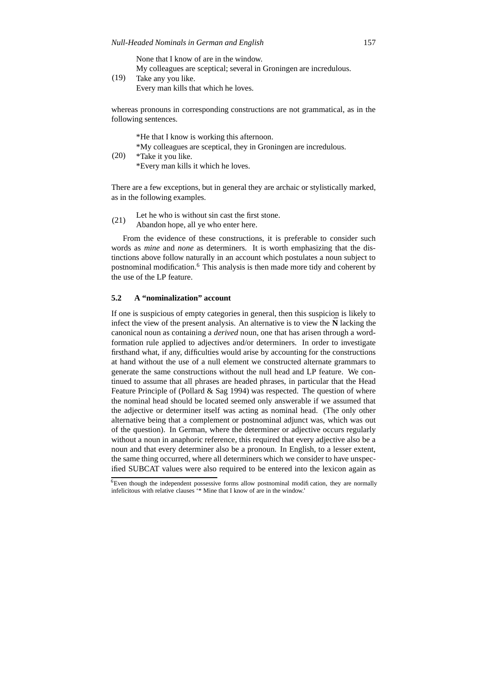None that I know of are in the window.

My colleagues are sceptical; several in Groningen are incredulous.

(19) Take any you like.

Every man kills that which he loves.

whereas pronouns in corresponding constructions are not grammatical, as in the following sentences.

(20) \*He that I know is working this afternoon. \*My colleagues are sceptical, they in Groningen are incredulous. \*Take it you like.

\*Every man kills it which he loves.

There are a few exceptions, but in general they are archaic or stylistically marked, as in the following examples.

- (21) Let he who is without sin cast the first stone.
	- Abandon hope, all ye who enter here.

From the evidence of these constructions, it is preferable to consider such words as *mine* and *none* as determiners. It is worth emphasizing that the distinctions above follow naturally in an account which postulates a noun subject to postnominal modification.<sup>6</sup> This analysis is then made more tidy and coherent by the use of the LP feature.

# **5.2 A "nominalization" account**

If one is suspicious of empty categories in general, then this suspicion is likely to infect the view of the present analysis. An alternative is to view the  $\bar{N}$  lacking the canonical noun as containing a *derived* noun, one that has arisen through a wordformation rule applied to adjectives and/or determiners. In order to investigate firsthand what, if any, difficulties would arise by accounting for the constructions at hand without the use of a null element we constructed alternate grammars to generate the same constructions without the null head and LP feature. We continued to assume that all phrases are headed phrases, in particular that the Head Feature Principle of (Pollard & Sag 1994) was respected. The question of where the nominal head should be located seemed only answerable if we assumed that the adjective or determiner itself was acting as nominal head. (The only other alternative being that a complement or postnominal adjunct was, which was out of the question). In German, where the determiner or adjective occurs regularly without a noun in anaphoric reference, this required that every adjective also be a noun and that every determiner also be a pronoun. In English, to a lesser extent, the same thing occurred, where all determiners which we consider to have unspecified SUBCAT values were also required to be entered into the lexicon again as

 $\overline{6}$ Even though the independent possessive forms allow postnominal modification, they are normally infelicitous with relative clauses '\* Mine that I know of are in the window.'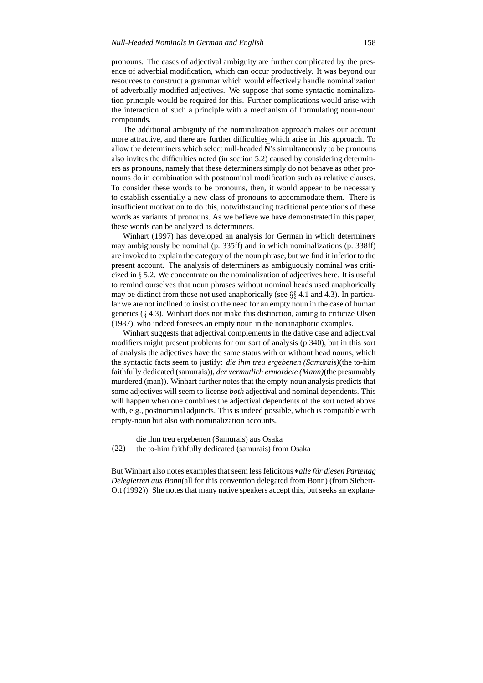pronouns. The cases of adjectival ambiguity are further complicated by the presence of adverbial modification, which can occur productively. It was beyond our resources to construct a grammar which would effectively handle nominalization of adverbially modified adjectives. We suppose that some syntactic nominalization principle would be required for this. Further complications would arise with the interaction of such a principle with a mechanism of formulating noun-noun compounds.

The additional ambiguity of the nominalization approach makes our account more attractive, and there are further difficulties which arise in this approach. To allow the determiners which select null-headed  $\bar{N}$ 's simultaneously to be pronouns also invites the difficulties noted (in section 5.2) caused by considering determiners as pronouns, namely that these determiners simply do not behave as other pronouns do in combination with postnominal modification such as relative clauses. To consider these words to be pronouns, then, it would appear to be necessary to establish essentially a new class of pronouns to accommodate them. There is insufficient motivation to do this, notwithstanding traditional perceptions of these words as variants of pronouns. As we believe we have demonstrated in this paper, these words can be analyzed as determiners.

Winhart (1997) has developed an analysis for German in which determiners may ambiguously be nominal (p. 335ff) and in which nominalizations (p. 338ff) are invoked to explain the category of the noun phrase, but we find it inferior to the present account. The analysis of determiners as ambiguously nominal was criticized in  $\S$  5.2. We concentrate on the nominalization of adjectives here. It is useful to remind ourselves that noun phrases without nominal heads used anaphorically may be distinct from those not used anaphorically (see  $\S\S 4.1$  and 4.3). In particular we are not inclined to insist on the need for an empty noun in the case of human generics  $(\S$  4.3). Winhart does not make this distinction, aiming to criticize Olsen (1987), who indeed foresees an empty noun in the nonanaphoric examples.

Winhart suggests that adjectival complements in the dative case and adjectival modifiers might present problems for our sort of analysis (p.340), but in this sort of analysis the adjectives have the same status with or without head nouns, which the syntactic facts seem to justify: *die ihm treu ergebenen (Samurais)*(the to-him faithfully dedicated (samurais)), *der vermutlich ermordete (Mann)*(the presumably murdered (man)). Winhart further notes that the empty-noun analysis predicts that some adjectives will seem to license *both* adjectival and nominal dependents. This will happen when one combines the adjectival dependents of the sort noted above with, e.g., postnominal adjuncts. This is indeed possible, which is compatible with empty-noun but also with nominalization accounts.

die ihm treu ergebenen (Samurais) aus Osaka

(22) the to-him faithfully dedicated (samurais) from Osaka

But Winhart also notes examples that seem less felicitous \*alle für diesen Parteitag *Delegierten aus Bonn*(all for this convention delegated from Bonn) (from Siebert-Ott (1992)). She notes that many native speakers accept this, but seeks an explana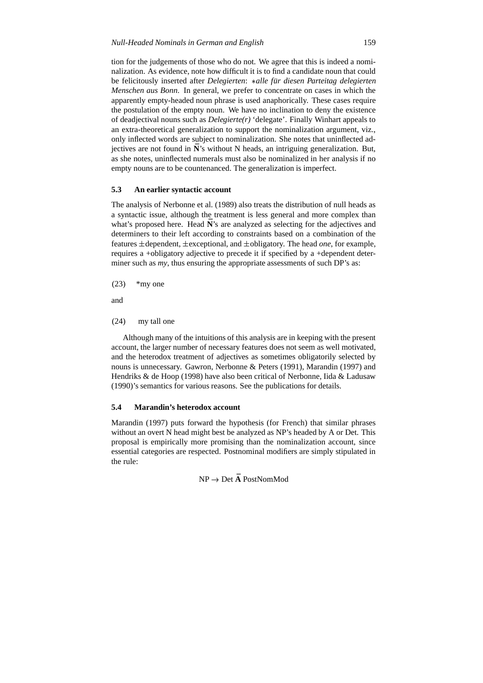tion for the judgements of those who do not. We agree that this is indeed a nominalization. As evidence, note how difficult it is to find a candidate noun that could be felicitously inserted after *Delegierten*: \* alle für diesen Parteitag delegierten *Menschen aus Bonn*. In general, we prefer to concentrate on cases in which the apparently empty-headed noun phrase is used anaphorically. These cases require the postulation of the empty noun. We have no inclination to deny the existence of deadjectival nouns such as *Delegierte(r)* 'delegate'. Finally Winhart appeals to an extra-theoretical generalization to support the nominalization argument, viz., only inflected words are subject to nominalization. She notes that uninflected adjectives are not found in  $\bar{N}$ 's without N heads, an intriguing generalization. But, as she notes, uninflected numerals must also be nominalized in her analysis if no empty nouns are to be countenanced. The generalization is imperfect.

### **5.3 An earlier syntactic account**

The analysis of Nerbonne et al. (1989) also treats the distribution of null heads as a syntactic issue, although the treatment is less general and more complex than what's proposed here. Head  $\bar{N}$ 's are analyzed as selecting for the adjectives and determiners to their left according to constraints based on a combination of the features  $\pm$ dependent,  $\pm$ exceptional, and  $\pm$ obligatory. The head *one*, for example, requires a +obligatory adjective to precede it if specified by a +dependent determiner such as *my*, thus ensuring the appropriate assessments of such DP's as:

 $(23)$  \*my one

and

(24) my tall one

Although many of the intuitions of this analysis are in keeping with the present account, the larger number of necessary features does not seem as well motivated, and the heterodox treatment of adjectives as sometimes obligatorily selected by nouns is unnecessary. Gawron, Nerbonne & Peters (1991), Marandin (1997) and Hendriks & de Hoop (1998) have also been critical of Nerbonne, Iida & Ladusaw (1990)'s semantics for various reasons. See the publications for details.

### **5.4 Marandin's heterodox account**

Marandin (1997) puts forward the hypothesis (for French) that similar phrases without an overt N head might best be analyzed as NP's headed by A or Det. This proposal is empirically more promising than the nominalization account, since essential categories are respected. Postnominal modifiers are simply stipulated in the rule:

NP Det **A¯** PostNomMod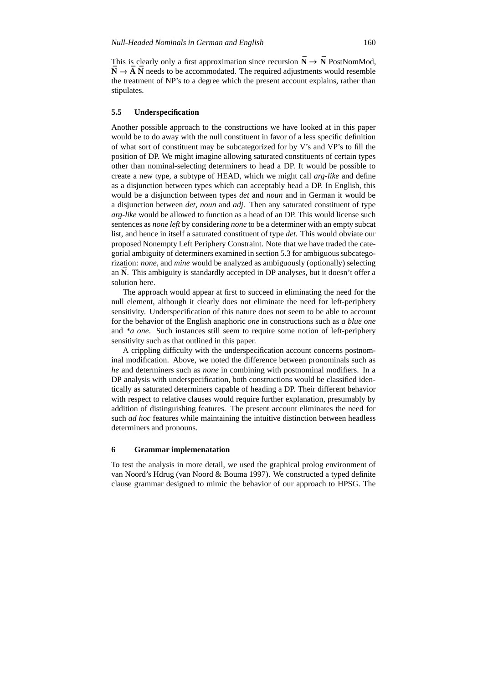This is clearly only a first approximation since recursion  $\bar{N} \to \bar{N}$  PostNomMod,  $\bar{N} \rightarrow \bar{A} \bar{N}$  needs to be accommodated. The required adjustments would resemble the treatment of NP's to a degree which the present account explains, rather than stipulates.

#### **5.5 Underspecification**

Another possible approach to the constructions we have looked at in this paper would be to do away with the null constituent in favor of a less specific definition of what sort of constituent may be subcategorized for by V's and VP's to fill the position of DP. We might imagine allowing saturated constituents of certain types other than nominal-selecting determiners to head a DP. It would be possible to create a new type, a subtype of HEAD, which we might call *arg-like* and define as a disjunction between types which can acceptably head a DP. In English, this would be a disjunction between types *det* and *noun* and in German it would be a disjunction between *det*, *noun* and *adj*. Then any saturated constituent of type *arg-like* would be allowed to function as a head of an DP. This would license such sentences as *none left* by considering *none* to be a determiner with an empty subcat list, and hence in itself a saturated constituent of type *det*. This would obviate our proposed Nonempty Left Periphery Constraint. Note that we have traded the categorial ambiguity of determiners examined in section 5.3 for ambiguoussubcategorization: *none*, and *mine* would be analyzed as ambiguously (optionally) selecting an **N**. This ambiguity is standardly accepted in DP analyses, but it doesn't offer a solution here.

The approach would appear at first to succeed in eliminating the need for the null element, although it clearly does not eliminate the need for left-periphery sensitivity. Underspecification of this nature does not seem to be able to account for the behavior of the English anaphoric *one* in constructions such as *a blue one* and *\*a one*. Such instances still seem to require some notion of left-periphery sensitivity such as that outlined in this paper.

A crippling difficulty with the underspecification account concerns postnominal modification. Above, we noted the difference between pronominals such as *he* and determiners such as *none* in combining with postnominal modifiers. In a DP analysis with underspecification, both constructions would be classified identically as saturated determiners capable of heading a DP. Their different behavior with respect to relative clauses would require further explanation, presumably by addition of distinguishing features. The present account eliminates the need for such *ad hoc* features while maintaining the intuitive distinction between headless determiners and pronouns.

#### **6 Grammar implemenatation**

To test the analysis in more detail, we used the graphical prolog environment of van Noord's Hdrug (van Noord & Bouma 1997). We constructed a typed definite clause grammar designed to mimic the behavior of our approach to HPSG. The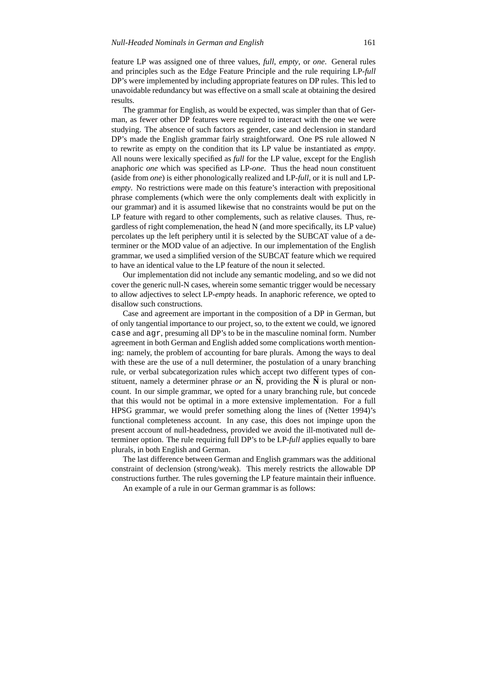feature LP was assigned one of three values, *full*, *empty*, or *one*. General rules and principles such as the Edge Feature Principle and the rule requiring LP-*full* DP's were implemented by including appropriate features on DP rules. This led to unavoidable redundancy but was effective on a small scale at obtaining the desired results.

The grammar for English, as would be expected, was simpler than that of German, as fewer other DP features were required to interact with the one we were studying. The absence of such factors as gender, case and declension in standard DP's made the English grammar fairly straightforward. One PS rule allowed N to rewrite as empty on the condition that its LP value be instantiated as *empty*. All nouns were lexically specified as *full* for the LP value, except for the English anaphoric *one* which was specified as LP-*one*. Thus the head noun constituent (aside from *one*) is either phonologically realized and LP-*full*, or it is null and LP*empty*. No restrictions were made on this feature's interaction with prepositional phrase complements (which were the only complements dealt with explicitly in our grammar) and it is assumed likewise that no constraints would be put on the LP feature with regard to other complements, such as relative clauses. Thus, regardless of right complemenation, the head N (and more specifically, its LP value) percolates up the left periphery until it is selected by the SUBCAT value of a determiner or the MOD value of an adjective. In our implementation of the English grammar, we used a simplified version of the SUBCAT feature which we required to have an identical value to the LP feature of the noun it selected.

Our implementation did not include any semantic modeling, and so we did not cover the generic null-N cases, wherein some semantic trigger would be necessary to allow adjectives to select LP-*empty* heads. In anaphoric reference, we opted to disallow such constructions.

Case and agreement are important in the composition of a DP in German, but of only tangential importance to our project, so, to the extent we could, we ignored case and agr, presuming all DP's to be in the masculine nominal form. Number agreement in both German and English added some complications worth mentioning: namely, the problem of accounting for bare plurals. Among the ways to deal with these are the use of a null determiner, the postulation of a unary branching rule, or verbal subcategorization rules which accept two different types of constituent, namely a determiner phrase *or* an  $\bf{N}$ , providing the  $\bf{N}$  is plural or noncount. In our simple grammar, we opted for a unary branching rule, but concede that this would not be optimal in a more extensive implementation. For a full HPSG grammar, we would prefer something along the lines of (Netter 1994)'s functional completeness account. In any case, this does not impinge upon the present account of null-headedness, provided we avoid the ill-motivated null determiner option. The rule requiring full DP's to be LP-*full* applies equally to bare plurals, in both English and German.

The last difference between German and English grammars was the additional constraint of declension (strong/weak). This merely restricts the allowable DP constructions further. The rules governing the LP feature maintain their influence.

An example of a rule in our German grammar is as follows: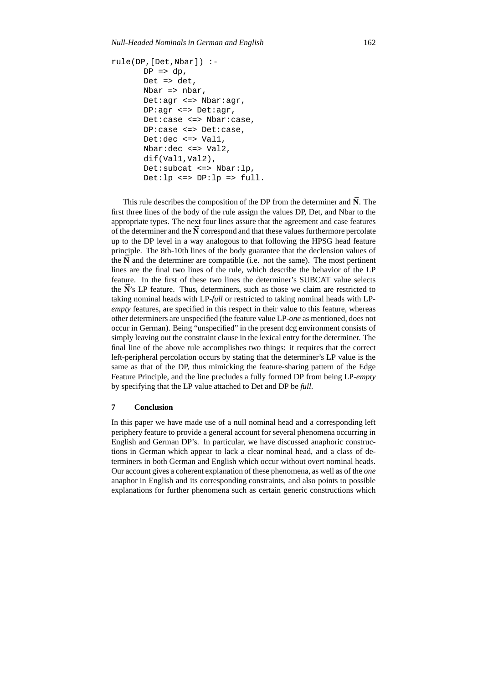```
rule(DP,[Det,Nbar]) :-
DP \Rightarrow dp,
Det => det,
Nbar => nbar,
Det:agr <=> Nbar:agr,
DP:agr <=> Det:agr,
Det:case <=> Nbar:case,
DP:case <=> Det:case,
Det:dec <=> Val1,
Nbar:dec <=> Val2,
dif(Val1,Val2),
Det:subcat <=> Nbar:lp,
Det:lp \iff DP:lp \implies full.
```
This rule describes the composition of the DP from the determiner and  $\bar{N}$ . The first three lines of the body of the rule assign the values DP, Det, and Nbar to the appropriate types. The next four lines assure that the agreement and case features of the determiner and the  $\bar{N}$  correspond and that these values furthermore percolate up to the DP level in a way analogous to that following the HPSG head feature principle. The 8th-10th lines of the body guarantee that the declension values of the  $\bar{N}$  and the determiner are compatible (i.e. not the same). The most pertinent lines are the final two lines of the rule, which describe the behavior of the LP feature. In the first of these two lines the determiner's SUBCAT value selects the **N**'s LP feature. Thus, determiners, such as those we claim are restricted to taking nominal heads with LP-*full* or restricted to taking nominal heads with LP*empty* features, are specified in this respect in their value to this feature, whereas other determiners are unspecified (the feature value LP-*one* as mentioned, does not occur in German). Being "unspecified" in the present dcg environment consists of simply leaving out the constraint clause in the lexical entry for the determiner. The final line of the above rule accomplishes two things: it requires that the correct left-peripheral percolation occurs by stating that the determiner's LP value is the same as that of the DP, thus mimicking the feature-sharing pattern of the Edge Feature Principle, and the line precludes a fully formed DP from being LP-*empty* by specifying that the LP value attached to Det and DP be *full*.

# **7 Conclusion**

In this paper we have made use of a null nominal head and a corresponding left periphery feature to provide a general account for several phenomena occurring in English and German DP's. In particular, we have discussed anaphoric constructions in German which appear to lack a clear nominal head, and a class of determiners in both German and English which occur without overt nominal heads. Our account gives a coherent explanation of these phenomena, as well as of the *one* anaphor in English and its corresponding constraints, and also points to possible explanations for further phenomena such as certain generic constructions which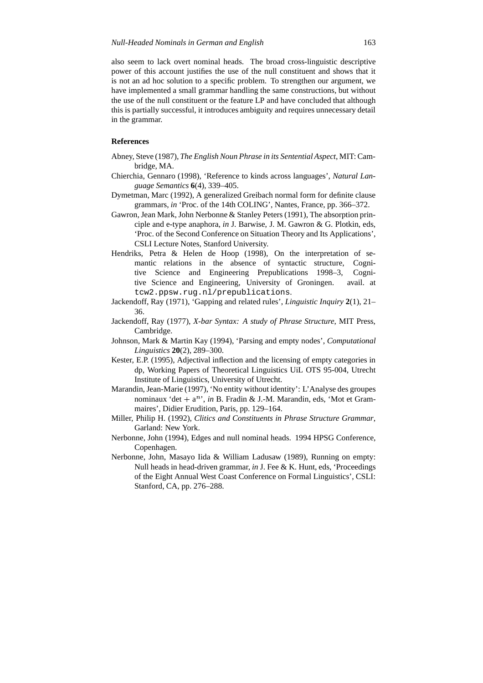also seem to lack overt nominal heads. The broad cross-linguistic descriptive power of this account justifies the use of the null constituent and shows that it is not an ad hoc solution to a specific problem. To strengthen our argument, we have implemented a small grammar handling the same constructions, but without the use of the null constituent or the feature LP and have concluded that although this is partially successful, it introduces ambiguity and requires unnecessary detail in the grammar.

### **References**

- Abney, Steve (1987), *The English Noun Phrase in its Sentential Aspect*, MIT: Cambridge, MA.
- Chierchia, Gennaro (1998), 'Reference to kinds across languages', *Natural Language Semantics* **6**(4), 339–405.
- Dymetman, Marc (1992), A generalized Greibach normal form for definite clause grammars, *in* 'Proc. of the 14th COLING', Nantes, France, pp. 366–372.
- Gawron, Jean Mark, John Nerbonne & Stanley Peters (1991), The absorption principle and e-type anaphora, *in* J. Barwise, J. M. Gawron & G. Plotkin, eds, 'Proc. of the Second Conference on Situation Theory and Its Applications', CSLI Lecture Notes, Stanford University.
- Hendriks, Petra & Helen de Hoop (1998), On the interpretation of semantic relations in the absence of syntactic structure, Cognitive Science and Engineering Prepublications 1998–3, Cognitive Science and Engineering, University of Groningen. avail. at tcw2.ppsw.rug.nl/prepublications.
- Jackendoff, Ray (1971), 'Gapping and related rules', *Linguistic Inquiry* **2**(1), 21– 36.
- Jackendoff, Ray (1977), *X-bar Syntax: A study of Phrase Structure*, MIT Press, Cambridge.
- Johnson, Mark & Martin Kay (1994), 'Parsing and empty nodes', *Computational Linguistics* **20**(2), 289–300.
- Kester, E.P. (1995), Adjectival inflection and the licensing of empty categories in dp, Working Papers of Theoretical Linguistics UiL OTS 95-004, Utrecht Institute of Linguistics, University of Utrecht.
- Marandin, Jean-Marie (1997), 'No entity without identity': L'Analyse des groupes nominaux 'det  $+ a^n$ ', *in* B. Fradin & J.-M. Marandin, eds, 'Mot et Grammaires', Didier Erudition, Paris, pp. 129–164.
- Miller, Philip H. (1992), *Clitics and Constituents in Phrase Structure Grammar*, Garland: New York.
- Nerbonne, John (1994), Edges and null nominal heads. 1994 HPSG Conference, Copenhagen.
- Nerbonne, John, Masayo Iida & William Ladusaw (1989), Running on empty: Null heads in head-driven grammar, *in* J. Fee & K. Hunt, eds, 'Proceedings of the Eight Annual West Coast Conference on Formal Linguistics', CSLI: Stanford, CA, pp. 276–288.